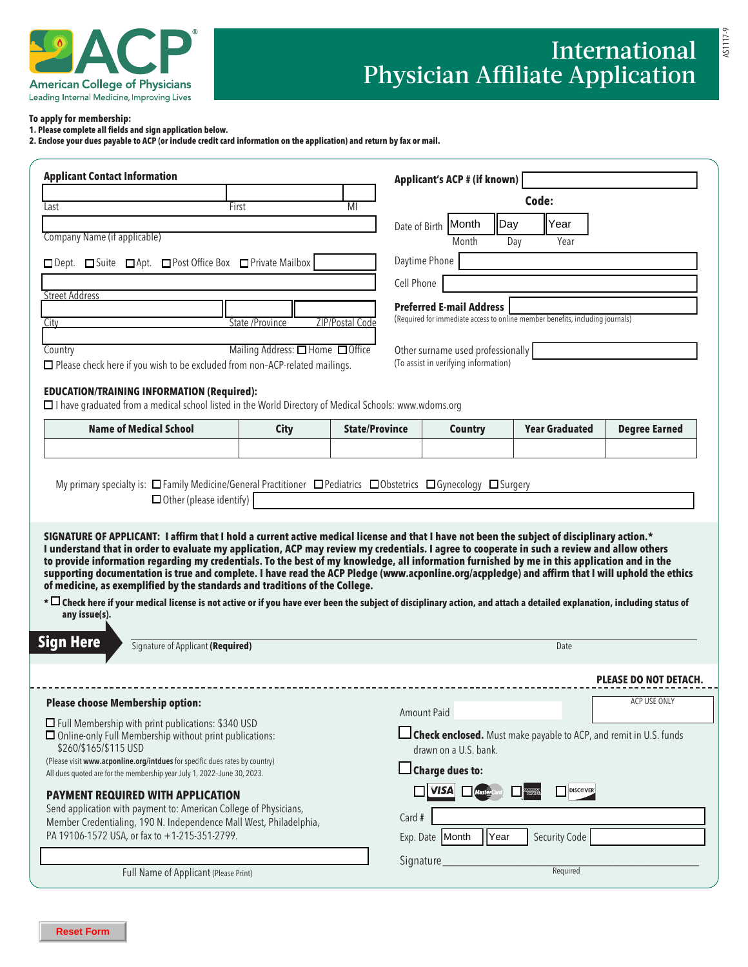

# International Physician Affiliate Application

AS1117-9

#### **To apply for membership:**

**1. Please complete all fields and sign application below.** 

**2. Enclose your dues payable to ACP (or include credit card information on the application) and return by fax or mail.**

| <b>Applicant Contact Information</b>                                                                                                                                                                                                                                                                                                                                                                                                                                                                                                                                                                                                                                                                                                                                                                                                                                                                                                                                                                                                                                                                                                                                                                                                                                                                                                                                                                                                                          |                                  |                       | Applicant's ACP # (if known)                                                  |              |                       |                                                                          |
|---------------------------------------------------------------------------------------------------------------------------------------------------------------------------------------------------------------------------------------------------------------------------------------------------------------------------------------------------------------------------------------------------------------------------------------------------------------------------------------------------------------------------------------------------------------------------------------------------------------------------------------------------------------------------------------------------------------------------------------------------------------------------------------------------------------------------------------------------------------------------------------------------------------------------------------------------------------------------------------------------------------------------------------------------------------------------------------------------------------------------------------------------------------------------------------------------------------------------------------------------------------------------------------------------------------------------------------------------------------------------------------------------------------------------------------------------------------|----------------------------------|-----------------------|-------------------------------------------------------------------------------|--------------|-----------------------|--------------------------------------------------------------------------|
| Last                                                                                                                                                                                                                                                                                                                                                                                                                                                                                                                                                                                                                                                                                                                                                                                                                                                                                                                                                                                                                                                                                                                                                                                                                                                                                                                                                                                                                                                          | First                            | MI                    |                                                                               |              | Code:                 |                                                                          |
|                                                                                                                                                                                                                                                                                                                                                                                                                                                                                                                                                                                                                                                                                                                                                                                                                                                                                                                                                                                                                                                                                                                                                                                                                                                                                                                                                                                                                                                               |                                  |                       | Date of Birth Month                                                           | <b>I</b> Day | Year                  |                                                                          |
| Company Name (if applicable)                                                                                                                                                                                                                                                                                                                                                                                                                                                                                                                                                                                                                                                                                                                                                                                                                                                                                                                                                                                                                                                                                                                                                                                                                                                                                                                                                                                                                                  |                                  |                       | Month                                                                         | Day          | Year                  |                                                                          |
| □ Dept. □ Suite □ Apt. □ Post Office Box □ Private Mailbox                                                                                                                                                                                                                                                                                                                                                                                                                                                                                                                                                                                                                                                                                                                                                                                                                                                                                                                                                                                                                                                                                                                                                                                                                                                                                                                                                                                                    |                                  |                       | Daytime Phone                                                                 |              |                       |                                                                          |
|                                                                                                                                                                                                                                                                                                                                                                                                                                                                                                                                                                                                                                                                                                                                                                                                                                                                                                                                                                                                                                                                                                                                                                                                                                                                                                                                                                                                                                                               |                                  |                       | Cell Phone                                                                    |              |                       |                                                                          |
| <b>Street Address</b>                                                                                                                                                                                                                                                                                                                                                                                                                                                                                                                                                                                                                                                                                                                                                                                                                                                                                                                                                                                                                                                                                                                                                                                                                                                                                                                                                                                                                                         |                                  |                       | <b>Preferred E-mail Address</b>                                               |              |                       |                                                                          |
| City                                                                                                                                                                                                                                                                                                                                                                                                                                                                                                                                                                                                                                                                                                                                                                                                                                                                                                                                                                                                                                                                                                                                                                                                                                                                                                                                                                                                                                                          | State /Province                  | ZIP/Postal Code       | (Required for immediate access to online member benefits, including journals) |              |                       |                                                                          |
| Country                                                                                                                                                                                                                                                                                                                                                                                                                                                                                                                                                                                                                                                                                                                                                                                                                                                                                                                                                                                                                                                                                                                                                                                                                                                                                                                                                                                                                                                       | Mailing Address: □ Home □ Office |                       | Other surname used professionally                                             |              |                       |                                                                          |
| $\Box$ Please check here if you wish to be excluded from non-ACP-related mailings.                                                                                                                                                                                                                                                                                                                                                                                                                                                                                                                                                                                                                                                                                                                                                                                                                                                                                                                                                                                                                                                                                                                                                                                                                                                                                                                                                                            |                                  |                       | (To assist in verifying information)                                          |              |                       |                                                                          |
| <b>EDUCATION/TRAINING INFORMATION (Required):</b><br>□ I have graduated from a medical school listed in the World Directory of Medical Schools: www.wdoms.org                                                                                                                                                                                                                                                                                                                                                                                                                                                                                                                                                                                                                                                                                                                                                                                                                                                                                                                                                                                                                                                                                                                                                                                                                                                                                                 |                                  |                       |                                                                               |              |                       |                                                                          |
| <b>Name of Medical School</b>                                                                                                                                                                                                                                                                                                                                                                                                                                                                                                                                                                                                                                                                                                                                                                                                                                                                                                                                                                                                                                                                                                                                                                                                                                                                                                                                                                                                                                 | <b>City</b>                      | <b>State/Province</b> | <b>Country</b>                                                                |              | <b>Year Graduated</b> | <b>Degree Earned</b>                                                     |
|                                                                                                                                                                                                                                                                                                                                                                                                                                                                                                                                                                                                                                                                                                                                                                                                                                                                                                                                                                                                                                                                                                                                                                                                                                                                                                                                                                                                                                                               |                                  |                       |                                                                               |              |                       |                                                                          |
|                                                                                                                                                                                                                                                                                                                                                                                                                                                                                                                                                                                                                                                                                                                                                                                                                                                                                                                                                                                                                                                                                                                                                                                                                                                                                                                                                                                                                                                               | $\Box$ Other (please identify)   |                       |                                                                               |              |                       |                                                                          |
|                                                                                                                                                                                                                                                                                                                                                                                                                                                                                                                                                                                                                                                                                                                                                                                                                                                                                                                                                                                                                                                                                                                                                                                                                                                                                                                                                                                                                                                               |                                  |                       |                                                                               |              |                       |                                                                          |
| any issue(s).<br>Signature of Applicant (Required)                                                                                                                                                                                                                                                                                                                                                                                                                                                                                                                                                                                                                                                                                                                                                                                                                                                                                                                                                                                                                                                                                                                                                                                                                                                                                                                                                                                                            |                                  |                       |                                                                               |              | Date                  |                                                                          |
|                                                                                                                                                                                                                                                                                                                                                                                                                                                                                                                                                                                                                                                                                                                                                                                                                                                                                                                                                                                                                                                                                                                                                                                                                                                                                                                                                                                                                                                               |                                  |                       |                                                                               |              |                       | <b>PLEASE DO NOT DETACH.</b>                                             |
|                                                                                                                                                                                                                                                                                                                                                                                                                                                                                                                                                                                                                                                                                                                                                                                                                                                                                                                                                                                                                                                                                                                                                                                                                                                                                                                                                                                                                                                               |                                  |                       |                                                                               |              |                       | ACP USE ONLY                                                             |
|                                                                                                                                                                                                                                                                                                                                                                                                                                                                                                                                                                                                                                                                                                                                                                                                                                                                                                                                                                                                                                                                                                                                                                                                                                                                                                                                                                                                                                                               |                                  |                       | <b>Amount Paid</b>                                                            |              |                       |                                                                          |
| \$260/\$165/\$115 USD                                                                                                                                                                                                                                                                                                                                                                                                                                                                                                                                                                                                                                                                                                                                                                                                                                                                                                                                                                                                                                                                                                                                                                                                                                                                                                                                                                                                                                         |                                  |                       |                                                                               |              |                       | <b>Check enclosed.</b> Must make payable to ACP, and remit in U.S. funds |
|                                                                                                                                                                                                                                                                                                                                                                                                                                                                                                                                                                                                                                                                                                                                                                                                                                                                                                                                                                                                                                                                                                                                                                                                                                                                                                                                                                                                                                                               |                                  |                       | drawn on a U.S. bank.<br>$\Box$ Charge dues to:                               |              |                       |                                                                          |
|                                                                                                                                                                                                                                                                                                                                                                                                                                                                                                                                                                                                                                                                                                                                                                                                                                                                                                                                                                                                                                                                                                                                                                                                                                                                                                                                                                                                                                                               |                                  |                       | <b>VISA</b>                                                                   |              | <b>NISCOVER</b>       |                                                                          |
|                                                                                                                                                                                                                                                                                                                                                                                                                                                                                                                                                                                                                                                                                                                                                                                                                                                                                                                                                                                                                                                                                                                                                                                                                                                                                                                                                                                                                                                               |                                  |                       |                                                                               |              |                       |                                                                          |
|                                                                                                                                                                                                                                                                                                                                                                                                                                                                                                                                                                                                                                                                                                                                                                                                                                                                                                                                                                                                                                                                                                                                                                                                                                                                                                                                                                                                                                                               |                                  |                       | Card #                                                                        |              |                       |                                                                          |
| SIGNATURE OF APPLICANT: I affirm that I hold a current active medical license and that I have not been the subject of disciplinary action.*<br>I understand that in order to evaluate my application, ACP may review my credentials. I agree to cooperate in such a review and allow others<br>to provide information regarding my credentials. To the best of my knowledge, all information furnished by me in this application and in the<br>supporting documentation is true and complete. I have read the ACP Pledge (www.acponline.org/acppledge) and affirm that I will uphold the ethics<br>of medicine, as exemplified by the standards and traditions of the College.<br>* $\square$ Check here if your medical license is not active or if you have ever been the subject of disciplinary action, and attach a detailed explanation, including status of<br><b>Sign Here</b><br><b>Please choose Membership option:</b><br>□ Full Membership with print publications: \$340 USD<br>$\Box$ Online-only Full Membership without print publications:<br>(Please visit www.acponline.org/intdues for specific dues rates by country)<br>All dues quoted are for the membership year July 1, 2022-June 30, 2023.<br><b>PAYMENT REQUIRED WITH APPLICATION</b><br>Send application with payment to: American College of Physicians,<br>Member Credentialing, 190 N. Independence Mall West, Philadelphia,<br>PA 19106-1572 USA, or fax to +1-215-351-2799. |                                  |                       | Exp. Date Month<br>Signature                                                  | Year         | Security Code         |                                                                          |

**Reset Form**